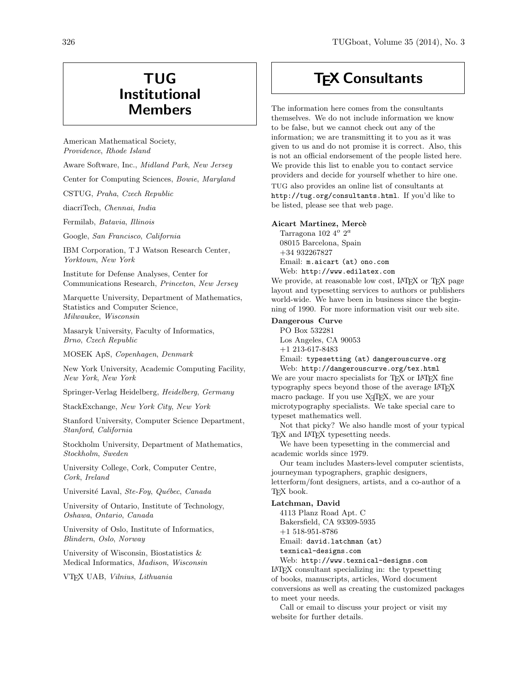## TUG Institutional Members

American Mathematical Society, Providence, Rhode Island

Aware Software, Inc., Midland Park, New Jersey

Center for Computing Sciences, Bowie, Maryland

CSTUG, Praha, Czech Republic

diacriTech, Chennai, India

Fermilab, Batavia, Illinois

Google, San Francisco, California

IBM Corporation, T J Watson Research Center, Yorktown, New York

Institute for Defense Analyses, Center for Communications Research, Princeton, New Jersey

Marquette University, Department of Mathematics, Statistics and Computer Science, Milwaukee, Wisconsin

Masaryk University, Faculty of Informatics, Brno, Czech Republic

MOSEK ApS, Copenhagen, Denmark

New York University, Academic Computing Facility, New York, New York

Springer-Verlag Heidelberg, Heidelberg, Germany

StackExchange, New York City, New York

Stanford University, Computer Science Department, Stanford, California

Stockholm University, Department of Mathematics, Stockholm, Sweden

University College, Cork, Computer Centre, Cork, Ireland

Université Laval, Ste-Foy, Québec, Canada

University of Ontario, Institute of Technology, Oshawa, Ontario, Canada

University of Oslo, Institute of Informatics, Blindern, Oslo, Norway

University of Wisconsin, Biostatistics & Medical Informatics, Madison, Wisconsin

VTEX UAB, Vilnius, Lithuania

## **TEX Consultants**

The information here comes from the consultants themselves. We do not include information we know to be false, but we cannot check out any of the information; we are transmitting it to you as it was given to us and do not promise it is correct. Also, this is not an official endorsement of the people listed here. We provide this list to enable you to contact service providers and decide for yourself whether to hire one. TUG also provides an online list of consultants at http://tug.org/consultants.html. If you'd like to be listed, please see that web page.

### Aicart Martinez, Mercè

Tarragona 102 4 $^o$  2 $^a$ 08015 Barcelona, Spain +34 932267827 Email: m.aicart (at) ono.com Web: http://www.edilatex.com

We provide, at reasonable low cost, LATEX or TEX page layout and typesetting services to authors or publishers world-wide. We have been in business since the beginning of 1990. For more information visit our web site.

#### Dangerous Curve

PO Box 532281 Los Angeles, CA 90053 +1 213-617-8483 Email: typesetting (at) dangerouscurve.org Web: http://dangerouscurve.org/tex.html

We are your macro specialists for TFX or L<sup>AT</sup>FX fine typography specs beyond those of the average LAT<sub>EX</sub> macro package. If you use X<sub>T</sub>T<sub>F</sub>X, we are your microtypography specialists. We take special care to typeset mathematics well.

Not that picky? We also handle most of your typical T<sub>F</sub>X and L<sup>AT</sup>F<sub>X</sub> typesetting needs.

We have been typesetting in the commercial and academic worlds since 1979.

Our team includes Masters-level computer scientists, journeyman typographers, graphic designers, letterform/font designers, artists, and a co-author of a T<sub>EX</sub> book.

#### Latchman, David

4113 Planz Road Apt. C Bakersfield, CA 93309-5935 +1 518-951-8786 Email: david.latchman (at) texnical-designs.com

Web: http://www.texnical-designs.com L<sup>A</sup>TEX consultant specializing in: the typesetting of books, manuscripts, articles, Word document conversions as well as creating the customized packages to meet your needs.

Call or email to discuss your project or visit my website for further details.